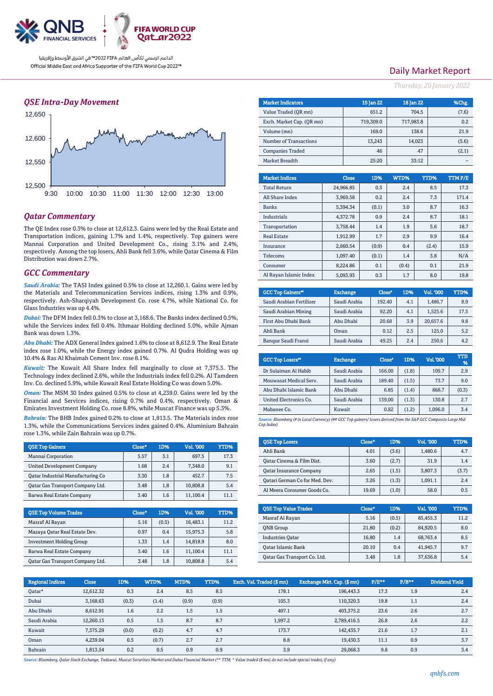

### *QSE Intra-Day Movement*



### *Qatar Commentary*

The QE Index rose 0.3% to close at 12,612.3. Gains were led by the Real Estate and Transportation indices, gaining 1.7% and 1.4%, respectively. Top gainers were Mannai Corporation and United Development Co., rising 3.1% and 2.4%, respectively. Among the top losers, Ahli Bank fell 3.6%, while Qatar Cinema & Film Distribution was down 2.7%.

### *GCC Commentary*

*Saudi Arabia:* The TASI Index gained 0.5% to close at 12,260.1. Gains were led by the Materials and Telecommunication Services indices, rising 1.3% and 0.9%, respectively. Ash-Sharqiyah Development Co. rose 4.7%, while National Co. for Glass Industries was up 4.4%.

*Dubai:* The DFM Index fell 0.3% to close at 3,168.6. The Banks index declined 0.5%, while the Services index fell 0.4%. Ithmaar Holding declined 5.0%, while Ajman Bank was down 1.3%.

*Abu Dhabi:* The ADX General Index gained 1.6% to close at 8,612.9. The Real Estate index rose 1.0%, while the Energy index gained 0.7%. Al Qudra Holding was up 10.4% & Ras Al Khaimah Cement Inv. rose 8.1%.

*Kuwait:* The Kuwait All Share Index fell marginally to close at 7,375.3. The Technology index declined 2.6%, while the Industrials index fell 0.2%. Al Tamdeen Inv. Co. declined 5.9%, while Kuwait Real Estate Holding Co was down 5.0%.

*Oman:* The MSM 30 Index gained 0.5% to close at 4,239.0. Gains were led by the Financial and Services indices, rising 0.7% and 0.4%, respectively. Oman & Emirates Investment Holding Co. rose 8.8%, while Muscat Finance was up 5.3%.

*Bahrain:* The BHB Index gained 0.2% to close at 1,813.5. The Materials index rose 1.3%, while the Communications Services index gained 0.4%. Aluminium Bahrain rose 1.3%, while Zain Bahrain was up 0.7%.

| <b>OSE Top Gainers</b>            | Close* | 1D% | Vol. '000 | YTD% |
|-----------------------------------|--------|-----|-----------|------|
| Mannai Corporation                | 5.57   | 3.1 | 697.5     | 17.3 |
| <b>United Development Company</b> | 1.68   | 2.4 | 7.348.0   | 9.1  |
| Oatar Industrial Manufacturing Co | 3.30   | 1.8 | 452.7     | 7.5  |
| Oatar Gas Transport Company Ltd.  | 3.48   | 1.8 | 10.808.8  | 5.4  |
| Barwa Real Estate Company         | 3.40   | 1.6 | 11.100.4  | 11.1 |

| <b>OSE Top Volume Trades</b>     | Close* | 1D%   | Vol. '000 | YTD% |
|----------------------------------|--------|-------|-----------|------|
| Masraf Al Rayan                  | 5.16   | (0.5) | 16.483.1  | 11.2 |
| Mazaya Qatar Real Estate Dev.    | 0.97   | 0.4   | 15,975.3  | 5.8  |
| <b>Investment Holding Group</b>  | 1.33   | 1.4   | 14,818.9  | 8.0  |
| Barwa Real Estate Company        | 3.40   | 1.6   | 11,100.4  | 11.1 |
| Qatar Gas Transport Company Ltd. | 3.48   | 1.8   | 10,808.8  | 5.4  |

## Daily Market Report

*Thursday, 20 January2022*

| <b>Market Indicators</b>  |          |              | 19 Jan 22 | 18 Jan 22 |        |       | %Chg.   |
|---------------------------|----------|--------------|-----------|-----------|--------|-------|---------|
| Value Traded (OR mn)      |          | 651.2        |           | 704.5     |        | (7.6) |         |
| Exch. Market Cap. (QR mn) |          |              | 719,309.0 | 717,983.8 |        |       | 0.2     |
| Volume (mn)               |          | 169.0        |           | 138.6     |        | 21.9  |         |
| Number of Transactions    |          |              | 13,243    |           | 14,023 |       | (5.6)   |
| <b>Companies Traded</b>   |          |              | 46        |           | 47     |       | (2.1)   |
| Market Breadth            |          |              | 25:20     |           | 33:12  |       |         |
|                           |          |              |           |           |        |       |         |
| <b>Market Indices</b>     |          | <b>Close</b> | 1D%       | WTD%      |        | YTD%  | TTM P/E |
| <b>Total Return</b>       |          | 24,966.85    | 0.3       | 2.4       |        | 8.5   | 17.3    |
| All Share Index           |          | 3,969.58     | 0.2       | 2.4       |        | 7.3   | 171.4   |
| <b>Banks</b>              |          | 5,394.34     | (0.1)     | 3.0       |        | 8.7   | 16.3    |
| <b>Industrials</b>        |          | 4,372.78     | 0.9       | 2.4       |        | 8.7   | 18.1    |
| Transportation            |          | 3.758.44     | 1.4       | 1.9       |        | 5.6   | 18.7    |
| <b>Real Estate</b>        |          | 1,912.99     | 1.7       | 2.9       |        | 9.9   | 16.4    |
| Insurance                 |          | 2,660.54     | (0.9)     | 0.4       |        | (2.4) | 15.9    |
| <b>Telecoms</b>           | 1,097.40 |              | (0.1)     | 1.4       |        | 3.8   | N/A     |
| Consumer                  |          | 8.224.86     | 0.1       | (0.4)     | 0.1    |       | 21.9    |
| Al Rayan Islamic Index    |          | 5,093.93     | 0.3       | 1.7       |        | 8.0   | 19.8    |

| <b>GCC Top Gainers</b> " | <b>Exchange</b> | Close* | 1D% | Vol. '000 | YTD% |
|--------------------------|-----------------|--------|-----|-----------|------|
| Saudi Arabian Fertilizer | Saudi Arabia    | 192.40 | 4.1 | 1.486.7   | 8.9  |
| Saudi Arabian Mining     | Saudi Arabia    | 92.20  | 4.1 | 1.525.6   | 17.5 |
| First Abu Dhabi Bank     | Abu Dhabi       | 20.68  | 3.9 | 20.657.6  | 9.8  |
| Ahli Bank                | Oman            | 0.12   | 2.5 | 125.0     | 5.2  |
| Banque Saudi Fransi      | Saudi Arabia    | 49.25  | 2.4 | 250.6     | 4.2  |

| <b>GCC Top Losers</b> " | <b>Exchange</b> | Close* | 1D%   | <b>Vol. '000</b> | YTD<br>% |
|-------------------------|-----------------|--------|-------|------------------|----------|
| Dr Sulaiman Al Habib    | Saudi Arabia    | 166.00 | (1.8) | 109.7            | 2.9      |
| Mouwasat Medical Serv.  | Saudi Arabia    | 189.40 | (1.5) | 73.7             | 9.0      |
| Abu Dhabi Islamic Bank  | Abu Dhabi       | 6.85   | (1.4) | 868.7            | (0.3)    |
| United Electronics Co.  | Saudi Arabia    | 139.00 | (1.3) | 130.8            | 2.7      |
| Mabanee Co.             | Kuwait          | 0.82   | (1.2) | 1.096.0          | 3.4      |

*Source: Bloomberg (# in Local Currency) (## GCC Top gainers/ losers derived from the S&P GCC Composite Large Mid Cap Index)*

| <b>QSE Top Losers</b>          | Close* | 1D%   | <b>Vol. '000</b> | YTD%  |
|--------------------------------|--------|-------|------------------|-------|
| Ahli Bank                      | 4.01   | (3.6) | 1.480.6          | 4.7   |
| Oatar Cinema & Film Dist.      | 3.60   | (2.7) | 31.9             | 1.4   |
| <b>Qatar Insurance Company</b> | 2.65   | (1.5) | 3.807.3          | (3.7) |
| Qatari German Co for Med. Dev. | 3.26   | (1.3) | 1.091.1          | 2.4   |
| Al Meera Consumer Goods Co.    | 19.69  | (1.0) | 58.0             | 0.5   |

| <b>OSE Top Value Trades</b>  | Close* | 1D%   | Val. '000 | YTD% |
|------------------------------|--------|-------|-----------|------|
| Masraf Al Rayan              | 5.16   | (0.5) | 85,455.3  | 11.2 |
| <b>ONB</b> Group             | 21.80  | (0.2) | 84,920.5  | 8.0  |
| <b>Industries Oatar</b>      | 16.80  | 1.4   | 68,763.4  | 8.5  |
| Oatar Islamic Bank           | 20.10  | 0.4   | 41,945.7  | 9.7  |
| Oatar Gas Transport Co. Ltd. | 3.48   | 1.8   | 37,636.8  | 5.4  |

| <b>Regional Indices</b> | <b>Close</b> | 1D%   | WTD%  | MTD%  | YTD%  | Exch. Val. Traded (\$ mn) | Exchange Mkt. Cap. (\$ mn) | P/E** | $P/B**$ | Dividend Yield |
|-------------------------|--------------|-------|-------|-------|-------|---------------------------|----------------------------|-------|---------|----------------|
| Oatar*                  | 12.612.32    | 0.3   | 2.4   | 8.5   | 8.5   | 178.1                     | 196,443.3                  | 17.3  | 1.9     | 2.4            |
| Dubai                   | 3,168.63     | (0.3) | (1.4) | (0.9) | (0.9) | 105.3                     | 110.320.3                  | 19.8  | 1.1     | 2.4            |
| Abu Dhabi               | 8.612.91     | 1.6   | 2.2   | 1.5   | 1.5   | 407.1                     | 403.375.2                  | 23.6  | 2.6     | 2.7            |
| Saudi Arabia            | 12.260.13    | 0.5   | 1.5   | 8.7   | 8.7   | 1.997.2                   | 2,789,416.5                | 26.8  | 2.6     | 2.2            |
| Kuwait                  | 7.375.29     | (0.0) | (0.2) | 4.7   | 4.7   | 173.7                     | 142.435.7                  | 21.6  | 1.7     | 2.1            |
| Oman                    | 4.239.04     | 0.5   | (0.7) | 2.7   | 2.7   | 8.8                       | 19.430.3                   | 11.1  | 0.9     | 3.7            |
| Bahrain                 | 1.813.54     | 0.2   | 0.5   | 0.9   | 0.9   | 3.9                       | 29.068.3                   | 9.8   | 0.9     | 3.4            |

*Source: Bloomberg, Qatar Stock Exchange, Tadawul, Muscat Securities Market and Dubai Financial Market (\*\* TTM; \* Value traded (\$ mn) do not include special trades, if any)*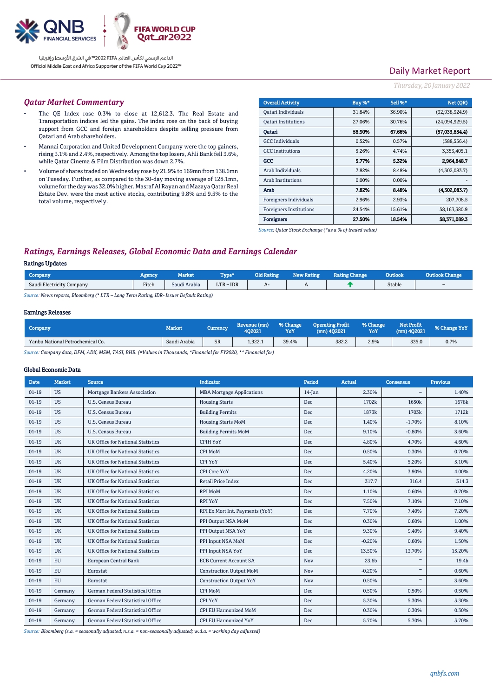

# Daily Market Report

#### *Thursday, 20 January2022*

#### *Qatar Market Commentary*

- The QE Index rose 0.3% to close at 12,612.3. The Real Estate and Transportation indices led the gains. The index rose on the back of buying support from GCC and foreign shareholders despite selling pressure from Qatari and Arab shareholders.
- Mannai Corporation and United Development Company were the top gainers, rising 3.1% and 2.4%, respectively. Among the top losers, Ahli Bank fell 3.6%, while Qatar Cinema & Film Distribution was down 2.7%.
- Volume of shares traded on Wednesday rose by 21.9% to 169mn from 138.6mn on Tuesday. Further, as compared to the 30-day moving average of 128.1mn, volume for the day was 32.0% higher. Masraf Al Rayan and Mazaya Qatar Real Estate Dev. were the most active stocks, contributing 9.8% and 9.5% to the total volume, respectively.

| <b>Overall Activity</b>        | Buy %*   | Sell %* | Net (OR)       |
|--------------------------------|----------|---------|----------------|
| Qatari Individuals             | 31.84%   | 36.90%  | (32,938,924.9) |
| <b>Oatari Institutions</b>     | 27.06%   | 30.76%  | (24,094,929.5) |
| Oatari                         | 58.90%   | 67.66%  | (57,033,854.4) |
| <b>GCC</b> Individuals         | 0.52%    | 0.57%   | (388, 556.4)   |
| <b>GCC</b> Institutions        | 5.26%    | 4.74%   | 3,353,405.1    |
| GCC                            | 5.77%    | 5.32%   | 2,964,848.7    |
| Arab Individuals               | 7.82%    | 8.48%   | (4,302,083.7)  |
| <b>Arab Institutions</b>       | $0.00\%$ | 0.00%   |                |
| Arab                           | 7.82%    | 8.48%   | (4.302.083.7)  |
| Foreigners Individuals         | 2.96%    | 2.93%   | 207,708.5      |
| <b>Foreigners Institutions</b> | 24.54%   | 15.61%  | 58.163.380.9   |
| <b>Foreigners</b>              | 27.50%   | 18.54%  | 58.371,089.3   |

*Source: Qatar Stock Exchange (\*as a % of traded value)*

# *Ratings, Earnings Releases, Global Economic Data and Earnings Calendar*

### Ratings Updates

| <b>Company</b>            | Agency | Market       | Tvne*       | <b>Old Rating</b> | <b>New Rating</b> | <b>Rating Change</b> | Outlook | nge                      |
|---------------------------|--------|--------------|-------------|-------------------|-------------------|----------------------|---------|--------------------------|
| Saudi Electricity Company | Fitch  | Saudi Arabia | $LTR - IDR$ | $H^-$             |                   |                      | Stable  | $\overline{\phantom{0}}$ |
|                           |        |              |             |                   |                   |                      |         |                          |

*Source: News reports, Bloomberg (\* LTR – Long Term Rating, IDR- Issuer Default Rating)*

#### Earnings Releases

| Company                          | <b>Market</b> | Currency  | Revenue (mn)<br>102021 | % Change<br>YoY | <b>Operating Profit</b><br>$(mn)$ 402021 | % Change<br>YoY | Net Profit<br>$(mn)$ 402021 | % Change YoY |
|----------------------------------|---------------|-----------|------------------------|-----------------|------------------------------------------|-----------------|-----------------------------|--------------|
| Yanbu National Petrochemical Co. | Saudi Arabia  | <b>SR</b> | 1.922.1                | 39.4%           | 382.2                                    | 2.9%            | 335.0                       | 0.7%         |

*Source: Company data, DFM, ADX, MSM, TASI, BHB. (#Values in Thousands, \*Financial for FY2020, \*\* Financial for)*

#### Global Economic Data

| <b>Date</b> | <b>Market</b> | <b>Source</b>                            | <b>Indicator</b>                 | Period    | <b>Actual</b> | Consensus                | <b>Previous</b> |
|-------------|---------------|------------------------------------------|----------------------------------|-----------|---------------|--------------------------|-----------------|
| $01 - 19$   | <b>US</b>     | Mortgage Bankers Association             | <b>MBA Mortgage Applications</b> | $14$ -Jan | 2.30%         |                          | 1.40%           |
| $01-19$     | <b>US</b>     | U.S. Census Bureau                       | <b>Housing Starts</b>            | Dec       | 1702k         | 1650k                    | 1678k           |
| $01-19$     | <b>US</b>     | U.S. Census Bureau                       | <b>Building Permits</b>          | Dec       | 1873k         | 1703k                    | 1712k           |
| $01-19$     | <b>US</b>     | U.S. Census Bureau                       | <b>Housing Starts MoM</b>        | Dec       | 1.40%         | $-1.70%$                 | 8.10%           |
| $01-19$     | <b>US</b>     | U.S. Census Bureau                       | <b>Building Permits MoM</b>      | Dec       | 9.10%         | $-0.80%$                 | 3.60%           |
| $01-19$     | <b>UK</b>     | <b>UK Office for National Statistics</b> | <b>CPIH YoY</b>                  | Dec       | 4.80%         | 4.70%                    | 4.60%           |
| $01-19$     | <b>UK</b>     | UK Office for National Statistics        | CPI MoM                          | Dec       | 0.50%         | 0.30%                    | 0.70%           |
| $01-19$     | <b>UK</b>     | UK Office for National Statistics        | CPI YoY                          | Dec       | 5.40%         | 5.20%                    | 5.10%           |
| $01-19$     | <b>UK</b>     | UK Office for National Statistics        | <b>CPI Core YoY</b>              | Dec       | 4.20%         | 3.90%                    | 4.00%           |
| $01-19$     | <b>UK</b>     | UK Office for National Statistics        | <b>Retail Price Index</b>        | Dec       | 317.7         | 316.4                    | 314.3           |
| $01-19$     | <b>UK</b>     | UK Office for National Statistics        | <b>RPI MoM</b>                   | Dec       | 1.10%         | 0.60%                    | 0.70%           |
| $01-19$     | <b>UK</b>     | <b>UK Office for National Statistics</b> | <b>RPI YoY</b>                   | Dec       | 7.50%         | 7.10%                    | 7.10%           |
| $01-19$     | <b>UK</b>     | UK Office for National Statistics        | RPI Ex Mort Int. Payments (YoY)  | Dec       | 7.70%         | 7.40%                    | 7.20%           |
| $01-19$     | <b>UK</b>     | UK Office for National Statistics        | PPI Output NSA MoM               | Dec       | 0.30%         | 0.60%                    | 1.00%           |
| $01-19$     | <b>UK</b>     | UK Office for National Statistics        | PPI Output NSA YoY               | Dec       | 9.30%         | 9.40%                    | 9.40%           |
| $01-19$     | <b>UK</b>     | UK Office for National Statistics        | PPI Input NSA MoM                | Dec       | $-0.20%$      | 0.60%                    | 1.50%           |
| $01-19$     | <b>UK</b>     | UK Office for National Statistics        | PPI Input NSA YoY                | Dec       | 13.50%        | 13.70%                   | 15.20%          |
| $01-19$     | <b>EU</b>     | European Central Bank                    | <b>ECB Current Account SA</b>    | Nov       | 23.6b         | $=$                      | 19.4b           |
| $01 - 19$   | <b>EU</b>     | Eurostat                                 | <b>Construction Output MoM</b>   | Nov       | $-0.20%$      | $\overline{\phantom{0}}$ | 0.60%           |
| $01-19$     | <b>EU</b>     | Eurostat                                 | <b>Construction Output YoY</b>   | Nov       | 0.50%         |                          | 3.60%           |
| $01-19$     | Germany       | German Federal Statistical Office        | <b>CPI MoM</b>                   | Dec       | 0.50%         | 0.50%                    | 0.50%           |
| $01-19$     | Germany       | German Federal Statistical Office        | <b>CPI YoY</b>                   | Dec       | 5.30%         | 5.30%                    | 5.30%           |
| $01 - 19$   | Germany       | German Federal Statistical Office        | <b>CPI EU Harmonized MoM</b>     | Dec       | 0.30%         | 0.30%                    | 0.30%           |
| $01-19$     | Germany       | German Federal Statistical Office        | <b>CPI EU Harmonized YoY</b>     | Dec       | 5.70%         | 5.70%                    | 5.70%           |

*Source: Bloomberg (s.a. = seasonally adjusted; n.s.a. = non-seasonally adjusted; w.d.a. = working day adjusted)*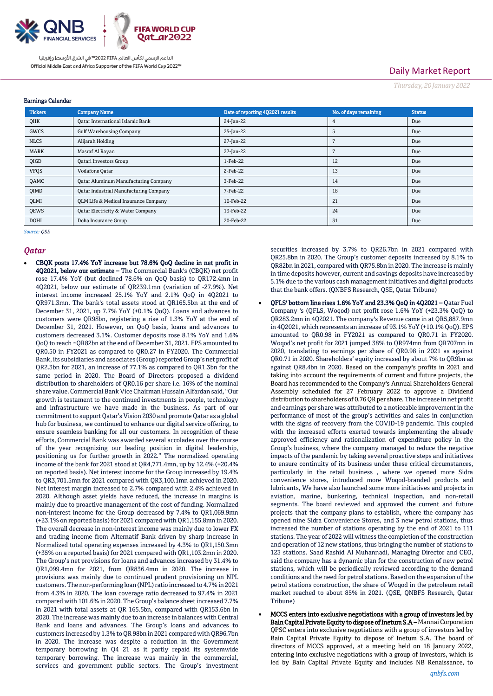

# Daily Market Report

*Thursday, 20 January2022*

| <b>Earnings Calendar</b> |                                                 |                                  |                       |               |  |  |  |  |
|--------------------------|-------------------------------------------------|----------------------------------|-----------------------|---------------|--|--|--|--|
| <b>Tickers</b>           | <b>Company Name</b>                             | Date of reporting 4Q2021 results | No. of days remaining | <b>Status</b> |  |  |  |  |
| QIIK                     | <b>Oatar International Islamic Bank</b>         | 24-Jan-22                        | 4                     | Due           |  |  |  |  |
| GWCS                     | <b>Gulf Warehousing Company</b>                 | 25-Jan-22                        | 5                     | Due           |  |  |  |  |
| <b>NLCS</b>              | Alijarah Holding                                | 27-Jan-22                        |                       | Due           |  |  |  |  |
| MARK                     | Masraf Al Rayan                                 | 27-Jan-22                        |                       | Due           |  |  |  |  |
| QIGD                     | <b>Qatari Investors Group</b>                   | 1-Feb-22                         | 12                    | Due           |  |  |  |  |
| <b>VFQS</b>              | Vodafone Qatar                                  | 2-Feb-22                         | 13                    | Due           |  |  |  |  |
| QAMC                     | <b>Qatar Aluminum Manufacturing Company</b>     | 3-Feb-22                         | 14                    | Due           |  |  |  |  |
| <b>OIMD</b>              | <b>Qatar Industrial Manufacturing Company</b>   | 7-Feb-22                         | 18                    | Due           |  |  |  |  |
| QLMI                     | <b>QLM Life &amp; Medical Insurance Company</b> | 10-Feb-22                        | 21                    | Due           |  |  |  |  |
| QEWS                     | Qatar Electricity & Water Company               | 13-Feb-22                        | 24                    | Due           |  |  |  |  |
| <b>DOHI</b>              | Doha Insurance Group                            | 20-Feb-22                        | 31                    | Due           |  |  |  |  |

*Source: QSE*

### *Qatar*

 CBQK posts 17.4% YoY increase but 78.6% QoQ decline in net profit in 4Q2021, below our estimate - The Commercial Bank's (CBQK) net profit rose 17.4% YoY (but declined 78.6% on QoQ basis) to QR172.4mn in 4Q2021, below our estimate of QR239.1mn (variation of -27.9%). Net interest income increased 25.1% YoY and 2.1% QoQ in 4Q2021 to QR971.3mn. The bank's total assets stood at QR165.5bn at the end of December 31, 2021, up 7.7% YoY (+0.1% QoQ). Loans and advances to customers were QR98bn, registering a rise of 1.3% YoY at the end of December 31, 2021. However, on QoQ basis, loans and advances to customers decreased 3.1%. Customer deposits rose 8.1% YoY and 1.6% QoQ to reach ~QR82bn at the end of December 31, 2021. EPS amounted to QR0.50 in FY2021 as compared to QR0.27 in FY2020. The Commercial Bank, its subsidiaries and associates (Group) reported Group's net profit of QR2.3bn for 2021, an increase of 77.1% as compared to QR1.3bn for the same period in 2020. The Board of Directors proposed a dividend distribution to shareholders of QR0.16 per share i.e. 16% of the nominal share value. Commercial Bank Vice Chairman Hussain Alfardan said, "Our growth is testament to the continued investments in people, technology and infrastructure we have made in the business. As part of our commitment to support Qatar's Vision 2030 and promote Qatar as a global hub for business, we continued to enhance our digital service offering, to ensure seamless banking for all our customers. In recognition of these efforts, Commercial Bank was awarded several accolades over the course of the year recognizing our leading position in digital leadership, positioning us for further growth in 2022." The normalized operating income of the bank for 2021 stood at QR4,771.4mn, up by 12.4% (+20.4% on reported basis). Net interest income for the Group increased by 19.4% to QR3,701.5mn for 2021 compared with QR3,100.1mn achieved in 2020. Net interest margin increased to 2.7% compared with 2.4% achieved in 2020. Although asset yields have reduced, the increase in margins is mainly due to proactive management of the cost of funding. Normalized non-interest income for the Group decreased by 7.4% to QR1,069.9mn (+23.1% on reported basis) for 2021 compared with QR1,155.8mn in 2020. The overall decrease in non-interest income was mainly due to lower FX and trading income from Alternatif Bank driven by sharp increase in Normalized total operating expenses increased by 4.3% to QR1,150.3mn (+35% on a reported basis) for 2021 compared with QR1,103.2mn in 2020. The Group's net provisions for loans and advances increased by 31.4% to QR1,099.4mn for 2021, from QR836.4mn in 2020. The increase in provisions was mainly due to continued prudent provisioning on NPL customers. The non-performing loan (NPL) ratio increased to 4.7% in 2021 from 4.3% in 2020. The loan coverage ratio decreased to 97.4% in 2021 compared with 101.6% in 2020. The Group's balance sheet increased 7.7% in 2021 with total assets at QR 165.5bn, compared with QR153.6bn in 2020. The increase was mainly due to an increase in balances with Central Bank and loans and advances. The Group's loans and advances to customers increased by 1.3% to QR 98bn in 2021 compared with QR96.7bn in 2020. The increase was despite a reduction in the Government temporary borrowing in Q4 21 as it partly repaid its systemwide temporary borrowing. The increase was mainly in the commercial, services and government public sectors. The Group's investment

securities increased by 3.7% to QR26.7bn in 2021 compared with QR25.8bn in 2020. The Group's customer deposits increased by 8.1% to QR82bn in 2021, compared with QR75.8bn in 2020. The increase is mainly in time deposits however, current and savings deposits have increased by 5.1% due to the various cash management initiatives and digital products that the bank offers. (QNBFS Research, QSE, Qatar Tribune)

- QFLS' bottom line rises 1.6% YoY and 23.3% QoQ in 4Q2021 Qatar Fuel Company 's (QFLS, Woqod) net profit rose 1.6% YoY (+23.3% QoQ) to QR283.2mn in 4Q2021. The company's Revenue came in at QR5,887.9mn in 4Q2021, which represents an increase of 93.1% YoY (+10.1% QoQ). EPS amounted to QR0.98 in FY2021 as compared to QR0.71 in FY2020. Woqod's net profit for 2021 jumped 38% to QR974mn from QR707mn in 2020, translating to earnings per share of QR0.98 in 2021 as against QR0.71 in 2020. Shareholders' equity increased by about 7% to QR9bn as against QR8.4bn in 2020. Based on the company's profits in 2021 and taking into account the requirements of current and future projects, the Board has recommended to the Company's Annual Shareholders General Assembly scheduled for 27 February 2022 to approve a Dividend distribution to shareholders of 0.76 QR per share. The increase in net profit and earnings per share was attributed to a noticeable improvement in the performance of most of the group's activities and sales in conjunction with the signs of recovery from the COVID-19 pandemic. This coupled with the increased efforts exerted towards implementing the already approved efficiency and rationalization of expenditure policy in the Group's business, where the company managed to reduce the negative impacts of the pandemic by taking several proactive steps and initiatives to ensure continuity of its business under these critical circumstances, particularly in the retail business , where we opened more Sidra convenience stores, introduced more Woqod-branded products and lubricants, We have also launched some more initiatives and projects in aviation, marine, bunkering, technical inspection, and non-retail segments. The board reviewed and approved the current and future projects that the company plans to establish, where the company has opened nine Sidra Convenience Stores, and 3 new petrol stations, thus increased the number of stations operating by the end of 2021 to 111 stations. The year of 2022 will witness the completion of the construction and operation of 12 new stations, thus bringing the number of stations to 123 stations. Saad Rashid Al Muhannadi, Managing Director and CEO, said the company has a dynamic plan for the construction of new petrol stations, which will be periodically reviewed according to the demand conditions and the need for petrol stations. Based on the expansion of the petrol stations construction, the share of Woqod in the petroleum retail market reached to about 85% in 2021. (QSE, QNBFS Research, Qatar Tribune)
- MCCS enters into exclusive negotiations with a group of investors led by Bain Capital Private Equity to dispose of Inetum S.A – Mannai Corporation QPSC enters into exclusive negotiations with a group of investors led by Bain Capital Private Equity to dispose of Inetum S.A. The board of directors of MCCS approved, at a meeting held on 18 January 2022, entering into exclusive negotiations with a group of investors, which is led by Bain Capital Private Equity and includes NB Renaissance, to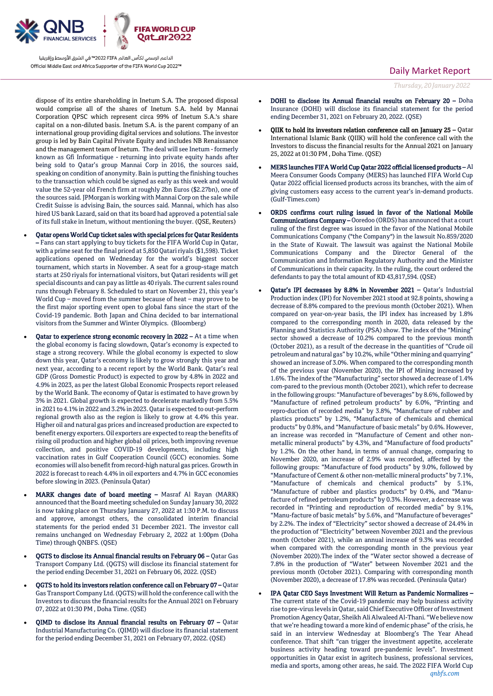

dispose of its entire shareholding in Inetum S.A. The proposed disposal would comprise all of the shares of Inetum S.A. held by Mannai Corporation QPSC which represent circa 99% of Inetum S.A.'s share capital on a non-diluted basis. Inetum S.A. is the parent company of an international group providing digital services and solutions. The investor group is led by Bain Capital Private Equity and includes NB Renaissance and the management team of Inetum. The deal will see Inetum - formerly known as Gfi Informatique - returning into private equity hands after being sold to Qatar's group Mannai Corp in 2016, the sources said, speaking on condition of anonymity. Bain is putting the finishing touches to the transaction which could be signed as early as this week and would value the 52-year old French firm at roughly 2bn Euros (\$2.27bn), one of the sources said. JPMorgan is working with Mannai Corp on the sale while Credit Suisse is advising Bain, the sources said. Mannai, which has also hired US bank Lazard, said on that its board had approved a potential sale of its full stake in Inetum, without mentioning the buyer. (QSE, Reuters)

- Qatar opens World Cup ticket sales with special prices for Qatar Residents – Fans can start applying to buy tickets for the FIFA World Cup in Qatar, with a prime seat for the final priced at 5,850 Qatari riyals (\$1,598). Ticket applications opened on Wednesday for the world's biggest soccer tournament, which starts in November. A seat for a group-stage match starts at 250 riyals for international visitors, but Qatari residents will get special discounts and can pay as little as 40 riyals. The current sales round runs through February 8. Scheduled to start on November 21, this year's World Cup – moved from the summer because of heat – may prove to be the first major sporting event open to global fans since the start of the Covid-19 pandemic. Both Japan and China decided to bar international visitors from the Summer and Winter Olympics. (Bloomberg)
- Qatar to experience strong economic recovery in 2022 At a time when the global economy is facing slowdown, Qatar's economy is expected to stage a strong recovery. While the global economy is expected to slow down this year, Qatar's economy is likely to grow strongly this year and next year, according to a recent report by the World Bank. Qatar's real GDP (Gross Domestic Product) is expected to grow by 4.8% in 2022 and 4.9% in 2023, as per the latest Global Economic Prospects report released by the World Bank. The economy of Qatar is estimated to have grown by 3% in 2021. Global growth is expected to decelerate markedly from 5.5% in 2021 to 4.1% in 2022 and 3.2% in 2023. Qatar is expected to out-perform regional growth also as the region is likely to grow at 4.4% this year. Higher oil and natural gas prices and increased production are expected to benefit energy exporters. Oil exporters are expected to reap the benefits of rising oil production and higher global oil prices, both improving revenue collection, and positive COVID-19 developments, including high vaccination rates in Gulf Cooperation Council (GCC) economies. Some economies will also benefit from record-high natural gas prices. Growth in 2022 is forecast to reach 4.4% in oil exporters and 4.7% in GCC economies before slowing in 2023. (Peninsula Qatar)
- MARK changes date of board meeting Masraf Al Rayan (MARK) announced that the Board meeting scheduled on Sunday January 30, 2022 is now taking place on Thursday January 27, 2022 at 1:30 P.M. to discuss and approve, amongst others, the consolidated interim financial statements for the period ended 31 December 2021. The investor call remains unchanged on Wednesday February 2, 2022 at 1:00pm (Doha Time) through QNBFS. (QSE)
- QGTS to disclose its Annual financial results on February 06 Qatar Gas Transport Company Ltd. (QGTS) will disclose its financial statement for the period ending December 31, 2021 on February 06, 2022. (QSE)
- QGTS to hold its investors relation conference call on February 07 Qatar Gas Transport Company Ltd. (QGTS) will hold the conference call with the Investors to discuss the financial results for the Annual 2021 on February 07, 2022 at 01:30 PM , Doha Time. (QSE)
- QIMD to disclose its Annual financial results on February 07 Qatar Industrial Manufacturing Co. (QIMD) will disclose its financial statement for the period ending December 31, 2021 on February 07, 2022. (QSE)

### Daily Market Report

*Thursday, 20 January2022*

- DOHI to disclose its Annual financial results on February 20 Doha Insurance (DOHI) will disclose its financial statement for the period ending December 31, 2021 on February 20, 2022. (QSE)
- QIIK to hold its investors relation conference call on January 25 Qatar International Islamic Bank (QIIK) will hold the conference call with the Investors to discuss the financial results for the Annual 2021 on January 25, 2022 at 01:30 PM , Doha Time. (QSE)
- MERS launches FIFA World Cup Qatar 2022 official licensed products Al Meera Consumer Goods Company (MERS) has launched FIFA World Cup Qatar 2022 official licensed products across its branches, with the aim of giving customers easy access to the current year's in-demand products. (Gulf-Times.com)
- ORDS confirms court ruling issued in favor of the National Mobile Communications Company – Ooredoo (ORDS) has announced that a court ruling of the first degree was issued in the favor of the National Mobile Communications Company ("the Company") in the lawsuit No.859/2020 in the State of Kuwait. The lawsuit was against the National Mobile Communications Company and the Director General of the Communication and Information Regulatory Authority and the Minister of Communications in their capacity. In the ruling, the court ordered the defendants to pay the total amount of KD 43,817,594. (QSE)
- Qatar's IPI decreases by 8.8% in November 2021 Qatar's Industrial Production index (IPI) for November 2021 stood at 92.8 points, showing a decrease of 8.8% compared to the previous month (October 2021). When compared on year-on-year basis, the IPI index has increased by 1.8% compared to the corresponding month in 2020, data released by the Planning and Statistics Authority (PSA) show. The index of the "Mining" sector showed a decrease of 10.2% compared to the previous month (October 2021), as a result of the decrease in the quantities of "Crude oil petroleum and natural gas" by 10.2%, while "Other mining and quarrying" showed an increase of 3.0%. When compared to the corresponding month of the previous year (November 2020), the IPI of Mining increased by 1.6%. The index of the "Manufacturing" sector showed a decrease of 1.4% com-pared to the previous month (October 2021), which refer to decrease in the following groups: "Manufacture of beverages" by 8.6%, followed by "Manufacture of refined petroleum products" by 6.0%, "Printing and repro-duction of recorded media" by 3.8%, "Manufacture of rubber and plastics products" by 1.2%, "Manufacture of chemicals and chemical products" by 0.8%, and "Manufacture of basic metals" by 0.6%. However, an increase was recorded in "Manufacture of Cement and other nonmetallic mineral products" by 4.3%, and "Manufacture of food products" by 1.2%. On the other hand, in terms of annual change, comparing to November 2020, an increase of 2.9% was recorded, affected by the following groups: "Manufacture of food products" by 9.0%, followed by "Manufacture of Cement & other non-metallic mineral products" by 7.1%, "Manufacture of chemicals and chemical products" by 5.1%, "Manufacture of rubber and plastics products" by 0.4%, and "Manufacture of refined petroleum products" by 0.3%. However, a decrease was recorded in "Printing and reproduction of recorded media" by 9.1%, "Manu-facture of basic metals" by 5.6%, and "Manufacture of beverages" by 2.2%. The index of "Electricity" sector showed a decrease of 24.4% in the production of "Electricity" between November 2021 and the previous month (October 2021), while an annual increase of 9.3% was recorded when compared with the corresponding month in the previous year (November 2020).The index of the "Water sector showed a decrease of 7.8% in the production of "Water" between November 2021 and the previous month (October 2021). Comparing with corresponding month (November 2020), a decrease of 17.8% was recorded. (Peninsula Qatar)
- *qnbfs.com* IPA Qatar CEO Says Investment Will Return as Pandemic Normalizes – The current state of the Covid-19 pandemic may help business activity rise to pre-virus levels in Qatar, said Chief Executive Officer of Investment Promotion Agency Qatar, Sheikh Ali Alwaleed Al-Thani. "We believe now that we're heading toward a more kind of endemic phase" of the crisis, he said in an interview Wednesday at Bloomberg's The Year Ahead conference. That shift "can trigger the investment appetite, accelerate business activity heading toward pre-pandemic levels". Investment opportunities in Qatar exist in agritech business, professional services, media and sports, among other areas, he said. The 2022 FIFA World Cup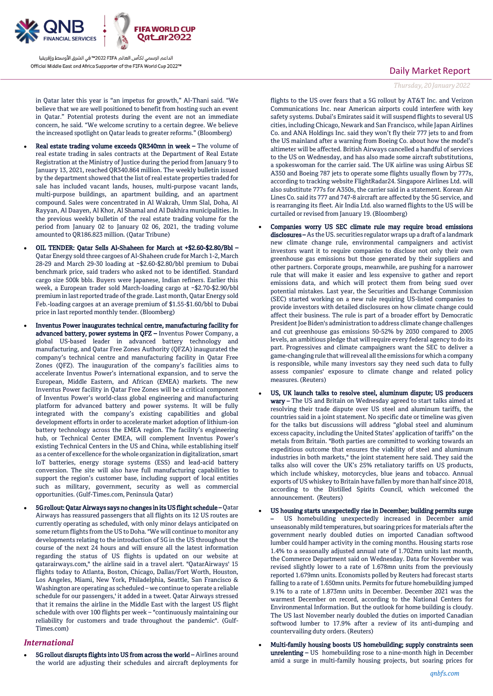

in Qatar later this year is "an impetus for growth," Al-Thani said. "We believe that we are well positioned to benefit from hosting such an event in Qatar." Potential protests during the event are not an immediate concern, he said. "We welcome scrutiny to a certain degree. We believe the increased spotlight on Qatar leads to greater reforms." (Bloomberg)

- Real estate trading volume exceeds QR340mn in week The volume of real estate trading in sales contracts at the Department of Real Estate Registration at the Ministry of Justice during the period from January 9 to January 13, 2021, reached QR340.864 million. The weekly bulletin issued by the department showed that the list of real estate properties traded for sale has included vacant lands, houses, multi-purpose vacant lands, multi-purpose buildings, an apartment building, and an apartment compound. Sales were concentrated in Al Wakrah, Umm Slal, Doha, Al Rayyan, Al Daayen, Al Khor, Al Shamal and Al Dakhira municipalities. In the previous weekly bulletin of the real estate trading volume for the period from January 02 to January 02 06, 2021, the trading volume amounted to QR186.823 million. (Qatar Tribune)
- OIL TENDER: Qatar Sells Al-Shaheen for March at +\$2.60-\$2.80/Bbl Qatar Energy sold three cargoes of Al-Shaheen crude for March 1-2, March 28-29 and March 29-30 loading at ~\$2.60-\$2.80/bbl premium to Dubai benchmark price, said traders who asked not to be identified. Standard cargo size 500k bbls. Buyers were Japanese, Indian refiners. Earlier this week, a European trader sold March-loading cargo at ~\$2.70-\$2.90/bbl premium in last reported trade of the grade. Last month, Qatar Energy sold Feb.-loading cargoes at an average premium of \$1.55-\$1.60/bbl to Dubai price in last reported monthly tender. (Bloomberg)
- Inventus Power inaugurates technical centre, manufacturing facility for advanced battery, power systems in QFZ – Inventus Power Company, a global US-based leader in advanced battery technology and manufacturing, and Qatar Free Zones Authority (QFZA) inaugurated the company's technical centre and manufacturing facility in Qatar Free Zones (QFZ). The inauguration of the company's facilities aims to accelerate Inventus Power's international expansion, and to serve the European, Middle Eastern, and African (EMEA) markets. The new Inventus Power facility in Qatar Free Zones will be a critical component of Inventus Power's world-class global engineering and manufacturing platform for advanced battery and power systems. It will be fully integrated with the company's existing capabilities and global development efforts in order to accelerate market adoption of lithium-ion battery technology across the EMEA region. The facility's engineering hub, or Technical Center EMEA, will complement Inventus Power's existing Technical Centers in the US and China, while establishing itself as a center of excellence for the whole organization in digitalization, smart IoT batteries, energy storage systems (ESS) and lead-acid battery conversion. The site will also have full manufacturing capabilities to support the region's customer base, including support of local entities such as military, government, security as well as commercial opportunities. (Gulf-Times.com, Peninsula Qatar)
	- 5G rollout: Qatar Airways says no changes in its US flight schedule Qatar Airways has reassured passengers that all flights on its 12 US routes are currently operating as scheduled, with only minor delays anticipated on some return flights from the US to Doha. "We will continue to monitor any developments relating to the introduction of 5G in the US throughout the course of the next 24 hours and will ensure all the latest information regarding the status of US flights is updated on our website at qatarairways.com," the airline said in a travel alert. "QatarAirways' 15 flights today to Atlanta, Boston, Chicago, Dallas/Fort Worth, Houston, Los Angeles, Miami, New York, Philadelphia, Seattle, San Francisco & Washington are operating as scheduled – we continue to operate a reliable schedule for our passengers,' it added in a tweet. Qatar Airways stressed that it remains the airline in the Middle East with the largest US flight schedule with over 100 flights per week – "continuously maintaining our reliability for customers and trade throughout the pandemic". (Gulf-Times.com)

### *International*

 5G rollout disrupts flights into US from across the world – Airlines around the world are adjusting their schedules and aircraft deployments for

### Daily Market Report

*Thursday, 20 January2022*

flights to the US over fears that a 5G rollout by AT&T Inc. and Verizon Communications Inc. near American airports could interfere with key safety systems. Dubai's Emirates said it will suspend flights to several US cities, including Chicago, Newark and San Francisco, while Japan Airlines Co. and ANA Holdings Inc. said they won't fly their 777 jets to and from the US mainland after a warning from Boeing Co. about how the model's altimeter will be affected. British Airways cancelled a handful of services to the US on Wednesday, and has also made some aircraft substitutions, a spokeswoman for the carrier said. The UK airline was using Airbus SE A350 and Boeing 787 jets to operate some flights usually flown by 777s, according to tracking website FlightRadar24. Singapore Airlines Ltd. will also substitute 777s for A350s, the carrier said in a statement. Korean Air Lines Co. said its 777 and 747-8 aircraft are affected by the 5G service, and is rearranging its fleet. Air India Ltd. also warned flights to the US will be curtailed or revised from January 19. (Bloomberg)

- Companies worry US SEC climate rule may require broad emissions disclosures – As the US, securities regulator wraps up a draft of a landmark new climate change rule, environmental campaigners and activist investors want it to require companies to disclose not only their own greenhouse gas emissions but those generated by their suppliers and other partners. Corporate groups, meanwhile, are pushing for a narrower rule that will make it easier and less expensive to gather and report emissions data, and which will protect them from being sued over potential mistakes. Last year, the Securities and Exchange Commission (SEC) started working on a new rule requiring US-listed companies to provide investors with detailed disclosures on how climate change could affect their business. The rule is part of a broader effort by Democratic President Joe Biden's administration to address climate change challenges and cut greenhouse gas emissions 50-52% by 2030 compared to 2005 levels, an ambitious pledge that will require every federal agency to do its part. Progressives and climate campaigners want the SEC to deliver a game-changing rule that will reveal all the emissions for which a company is responsible, while many investors say they need such data to fully assess companies' exposure to climate change and related policy measures. (Reuters)
- US, UK launch talks to resolve steel, aluminum dispute; US producers wary – The US and Britain on Wednesday agreed to start talks aimed at resolving their trade dispute over US steel and aluminum tariffs, the countries said in a joint statement. No specific date or timeline was given for the talks but discussions will address "global steel and aluminum excess capacity, including the United States' application of tariffs" on the metals from Britain. "Both parties are committed to working towards an expeditious outcome that ensures the viability of steel and aluminum industries in both markets," the joint statement here said. They said the talks also will cover the UK's 25% retaliatory tariffs on US products, which include whiskey, motorcycles, blue jeans and tobacco. Annual exports of US whiskey to Britain have fallen by more than half since 2018, according to the Distilled Spirits Council, which welcomed the announcement. (Reuters)
- US housing starts unexpectedly rise in December; building permits surge US homebuilding unexpectedly increased in December amid unseasonably mild temperatures, but soaring prices for materials after the government nearly doubled duties on imported Canadian softwood lumber could hamper activity in the coming months. Housing starts rose 1.4% to a seasonally adjusted annual rate of 1.702mn units last month, the Commerce Department said on Wednesday. Data for November was revised slightly lower to a rate of 1.678mn units from the previously reported 1.679mn units. Economists polled by Reuters had forecast starts falling to a rate of 1.650mn units. Permits for future homebuilding jumped 9.1% to a rate of 1.873mn units in December. December 2021 was the warmest December on record, according to the National Centers for Environmental Information. But the outlook for home building is cloudy. The US last November nearly doubled the duties on imported Canadian softwood lumber to 17.9% after a review of its anti-dumping and countervailing duty orders. (Reuters)
- Multi-family housing boosts US homebuilding; supply constraints seen unrelenting – US homebuilding rose to a nine-month high in December amid a surge in multi-family housing projects, but soaring prices for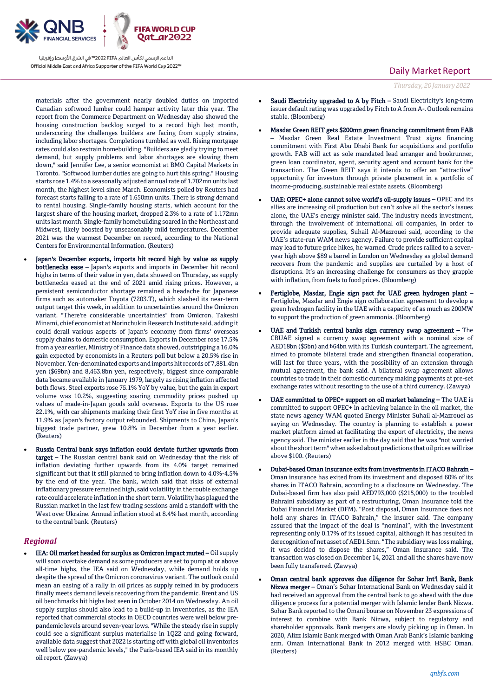

materials after the government nearly doubled duties on imported Canadian softwood lumber could hamper activity later this year. The report from the Commerce Department on Wednesday also showed the housing construction backlog surged to a record high last month, underscoring the challenges builders are facing from supply strains, including labor shortages. Completions tumbled as well. Rising mortgage rates could also restrain homebuilding. "Builders are gladly trying to meet demand, but supply problems and labor shortages are slowing them down," said Jennifer Lee, a senior economist at BMO Capital Markets in Toronto. "Softwood lumber duties are going to hurt this spring." Housing starts rose 1.4% to a seasonally adjusted annual rate of 1.702mn units last month, the highest level since March. Economists polled by Reuters had forecast starts falling to a rate of 1.650mn units. There is strong demand to rental housing. Single-family housing starts, which account for the largest share of the housing market, dropped 2.3% to a rate of 1.172mn units last month. Single-family homebuilding soared in the Northeast and Midwest, likely boosted by unseasonably mild temperatures. December 2021 was the warmest December on record, according to the National Centers for Environmental Information. (Reuters)

- Japan's December exports, imports hit record high by value as supply bottlenecks ease – Japan's exports and imports in December hit record highs in terms of their value in yen, data showed on Thursday, as supply bottlenecks eased at the end of 2021 amid rising prices. However, a persistent semiconductor shortage remained a headache for Japanese firms such as automaker Toyota (7203.T), which slashed its near-term output target this week, in addition to uncertainties around the Omicron variant. "There're considerable uncertainties" from Omicron, Takeshi Minami, chief economist at Norinchukin Research Institute said, adding it could derail various aspects of Japan's economy from firms' overseas supply chains to domestic consumption. Exports in December rose 17.5% from a year earlier, Ministry of Finance data showed, outstripping a 16.0% gain expected by economists in a Reuters poll but below a 20.5% rise in November. Yen-denominated exports and imports hit records of 7,881.4bn yen (\$69bn) and 8,463.8bn yen, respectively, biggest since comparable data became available in January 1979, largely as rising inflation affected both flows. Steel exports rose 75.1% YoY by value, but the gain in export volume was 10.2%, suggesting soaring commodity prices pushed up values of made-in-Japan goods sold overseas. Exports to the US rose 22.1%, with car shipments marking their first YoY rise in five months at 11.9% as Japan's factory output rebounded. Shipments to China, Japan's biggest trade partner, grew 10.8% in December from a year earlier. (Reuters)
- Russia Central bank says inflation could deviate further upwards from target – The Russian central bank said on Wednesday that the risk of inflation deviating further upwards from its 4.0% target remained significant but that it still planned to bring inflation down to 4.0%-4.5% by the end of the year. The bank, which said that risks of external inflationary pressure remained high, said volatility in the rouble exchange rate could accelerate inflation in the short term. Volatility has plagued the Russian market in the last few trading sessions amid a standoff with the West over Ukraine. Annual inflation stood at 8.4% last month, according to the central bank. (Reuters)

### *Regional*

 IEA: Oil market headed for surplus as Omicron impact muted – Oil supply will soon overtake demand as some producers are set to pump at or above all-time highs, the IEA said on Wednesday, while demand holds up despite the spread of the Omicron coronavirus variant. The outlook could mean an easing of a rally in oil prices as supply reined in by producers finally meets demand levels recovering from the pandemic. Brent and US oil benchmarks hit highs last seen in October 2014 on Wednesday. An oil supply surplus should also lead to a build-up in inventories, as the IEA reported that commercial stocks in OECD countries were well below prepandemic levels around seven-year lows. "While the steady rise in supply could see a significant surplus materialise in 1Q22 and going forward, available data suggest that 2022 is starting off with global oil inventories well below pre-pandemic levels," the Paris-based IEA said in its monthly oil report. (Zawya)

## Daily Market Report

*Thursday, 20 January2022*

- Saudi Electricity upgraded to A by Fitch Saudi Electricity's long-term issuer default rating was upgraded by Fitch to A from A-. Outlook remains stable. (Bloomberg)
- Masdar Green REIT gets \$200mn green financing commitment from FAB – Masdar Green Real Estate Investment Trust signs financing commitment with First Abu Dhabi Bank for acquisitions and portfolio growth. FAB will act as sole mandated lead arranger and bookrunner, green loan coordinator, agent, security agent and account bank for the transaction. The Green REIT says it intends to offer an "attractive" opportunity for investors through private placement in a portfolio of income-producing, sustainable real estate assets. (Bloomberg)
- UAE: OPEC+ alone cannot solve world's oil-supply issues OPEC and its allies are increasing oil production but can't solve all the sector's issues alone, the UAE's energy minister said. The industry needs investment, through the involvement of international oil companies, in order to provide adequate supplies, Suhail Al-Mazrouei said, according to the UAE's state-run WAM news agency. Failure to provide sufficient capital may lead to future price hikes, he warned. Crude prices rallied to a sevenyear high above \$89 a barrel in London on Wednesday as global demand recovers from the pandemic and supplies are curtailed by a host of disruptions. It's an increasing challenge for consumers as they grapple with inflation, from fuels to food prices. (Bloomberg)
- Fertiglobe, Masdar, Engie sign pact for UAE green hydrogen plant Fertiglobe, Masdar and Engie sign collaboration agreement to develop a green hydrogen facility in the UAE with a capacity of as much as 200MW to support the production of green ammonia. (Bloomberg)
- UAE and Turkish central banks sign currency swap agreement The CBUAE signed a currency swap agreement with a nominal size of AED18bn (\$5bn) and ₺64bn with its Turkish counterpart. The agreement, aimed to promote bilateral trade and strengthen financial cooperation, will last for three years, with the possibility of an extension through mutual agreement, the bank said. A bilateral swap agreement allows countries to trade in their domestic currency making payments at pre-set exchange rates without resorting to the use of a third currency. (Zawya)
- UAE committed to OPEC+ support on oil market balancing The UAE is committed to support OPEC+ in achieving balance in the oil market, the state news agency WAM quoted Energy Minister Suhail al-Mazrouei as saying on Wednesday. The country is planning to establish a power market platform aimed at facilitating the export of electricity, the news agency said. The minister earlier in the day said that he was "not worried about the short term" when asked about predictions that oil prices will rise above \$100. (Reuters)
- Dubai-based Oman Insurance exits from investments in ITACO Bahrain Oman insurance has exited from its investment and disposed 60% of its shares in ITACO Bahrain, according to a disclosure on Wednesday. The Dubai-based firm has also paid AED793,000 (\$215,000) to the troubled Bahraini subsidiary as part of a restructuring, Oman Insurance told the Dubai Financial Market (DFM). "Post disposal, Oman Insurance does not hold any shares in ITACO Bahrain," the insurer said. The company assured that the impact of the deal is "nominal", with the investment representing only 0.17% of its issued capital, although it has resulted in derecognition of net asset of AED1.5mn. "The subsidiary was loss making, it was decided to dispose the shares," Oman Insurance said. The transaction was closed on December 14, 2021 and all the shares have now been fully transferred. (Zawya)
- Oman central bank approves due diligence for Sohar Int'l Bank, Bank Nizwa merger – Oman's Sohar International Bank on Wednesday said it had received an approval from the central bank to go ahead with the due diligence process for a potential merger with Islamic lender Bank Nizwa. Sohar Bank reported to the Omani bourse on November 23 expressions of interest to combine with Bank Nizwa, subject to regulatory and shareholder approvals. Bank mergers are slowly picking up in Oman. In 2020, Alizz Islamic Bank merged with Oman Arab Bank's Islamic banking arm. Oman International Bank in 2012 merged with HSBC Oman. (Reuters)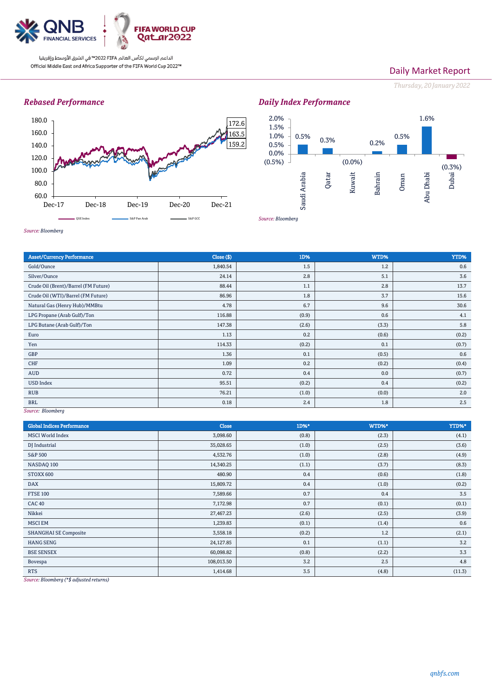

## Daily Market Report

*Thursday, 20 January2022*

## *Rebased Performance*





*Source: Bloomberg*

*Source: Bloomberg*

| <b>Asset/Currency Performance</b>    | Close ( \$) | 1D%   | WTD%  | YTD%  |  |  |
|--------------------------------------|-------------|-------|-------|-------|--|--|
| Gold/Ounce                           | 1,840.54    | 1.5   | 1.2   | 0.6   |  |  |
| Silver/Ounce                         | 24.14       | 2.8   | 5.1   | 3.6   |  |  |
| Crude Oil (Brent)/Barrel (FM Future) | 88.44       | 1.1   | 2.8   | 13.7  |  |  |
| Crude Oil (WTI)/Barrel (FM Future)   | 86.96       | 1.8   | 3.7   | 15.6  |  |  |
| Natural Gas (Henry Hub)/MMBtu        | 4.78        | 6.7   | 9.6   | 30.6  |  |  |
| LPG Propane (Arab Gulf)/Ton          | 116.88      | (0.9) | 0.6   | 4.1   |  |  |
| LPG Butane (Arab Gulf)/Ton           | 147.38      | (2.6) | (3.3) | 5.8   |  |  |
| Euro                                 | 1.13        | 0.2   | (0.6) | (0.2) |  |  |
| Yen                                  | 114.33      | (0.2) | 0.1   | (0.7) |  |  |
| <b>GBP</b>                           | 1.36        | 0.1   | (0.5) | 0.6   |  |  |
| <b>CHF</b>                           | 1.09        | 0.2   | (0.2) | (0.4) |  |  |
| AUD                                  | 0.72        | 0.4   | 0.0   | (0.7) |  |  |
| <b>USD Index</b>                     | 95.51       | (0.2) | 0.4   | (0.2) |  |  |
| <b>RUB</b>                           | 76.21       | (1.0) | (0.0) | 2.0   |  |  |
| <b>BRL</b>                           | 0.18        | 2.4   | 1.8   | 2.5   |  |  |
| $COMPROO$ , $Dhomhora$               |             |       |       |       |  |  |

*Source: Bloomberg*

| <b>Global Indices Performance</b>                                                                                             | <b>Close</b> | 1D%*  | WTD%* | YTD%*  |
|-------------------------------------------------------------------------------------------------------------------------------|--------------|-------|-------|--------|
| <b>MSCI World Index</b>                                                                                                       | 3,098.60     | (0.8) | (2.3) | (4.1)  |
| DJ Industrial                                                                                                                 | 35,028.65    | (1.0) | (2.5) | (3.6)  |
| <b>S&amp;P 500</b>                                                                                                            | 4,532.76     | (1.0) | (2.8) | (4.9)  |
| NASDAQ 100                                                                                                                    | 14,340.25    | (1.1) | (3.7) | (8.3)  |
| STOXX 600                                                                                                                     | 480.90       | 0.4   | (0.6) | (1.8)  |
| <b>DAX</b>                                                                                                                    | 15,809.72    | 0.4   | (1.0) | (0.2)  |
| <b>FTSE 100</b>                                                                                                               | 7,589.66     | 0.7   | 0.4   | 3.5    |
| <b>CAC 40</b>                                                                                                                 | 7,172.98     | 0.7   | (0.1) | (0.1)  |
| Nikkei                                                                                                                        | 27,467.23    | (2.6) | (2.5) | (3.9)  |
| <b>MSCI EM</b>                                                                                                                | 1,239.83     | (0.1) | (1.4) | 0.6    |
| <b>SHANGHAI SE Composite</b>                                                                                                  | 3,558.18     | (0.2) | 1.2   | (2.1)  |
| <b>HANG SENG</b>                                                                                                              | 24,127.85    | 0.1   | (1.1) | 3.2    |
| <b>BSE SENSEX</b>                                                                                                             | 60,098.82    | (0.8) | (2.2) | 3.3    |
| Bovespa                                                                                                                       | 108,013.50   | 3.2   | 2.5   | 4.8    |
| <b>RTS</b><br>the contract of the contract of the contract of the contract of the contract of the contract of the contract of | 1,414.68     | 3.5   | (4.8) | (11.3) |

*Source: Bloomberg (\*\$ adjusted returns)*